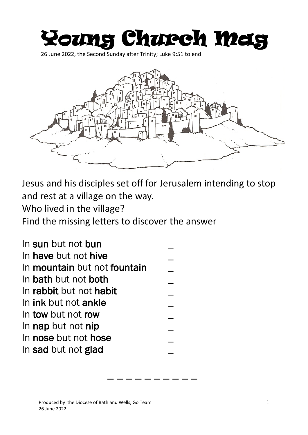## Young Church Mag

26 June 2022, the Second Sunday after Trinity; Luke 9:51 to end



Jesus and his disciples set off for Jerusalem intending to stop and rest at a village on the way.

\_ \_ \_ \_ \_ \_ \_ \_ \_ \_

Who lived in the village?

Find the missing letters to discover the answer

| In sun but not bun           |  |
|------------------------------|--|
| In have but not hive         |  |
| In mountain but not fountain |  |
| In bath but not both         |  |
| In rabbit but not habit      |  |
| In ink but not ankle         |  |
| In tow but not row           |  |
| In nap but not nip           |  |
| In nose but not hose         |  |
| In sad but not glad          |  |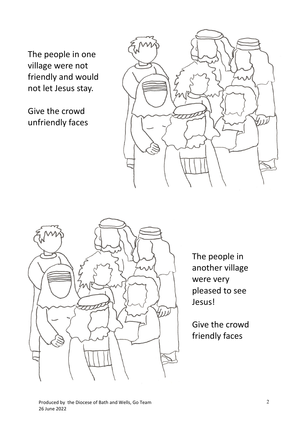The people in one village were not friendly and would not let Jesus stay.

Give the crowd unfriendly faces





The people in another village were very pleased to see Jesus!

Give the crowd friendly faces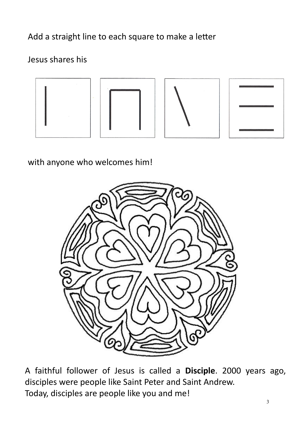Add a straight line to each square to make a letter

## Jesus shares his



with anyone who welcomes him!



A faithful follower of Jesus is called a **Disciple**. 2000 years ago, disciples were people like Saint Peter and Saint Andrew. Today, disciples are people like you and me!